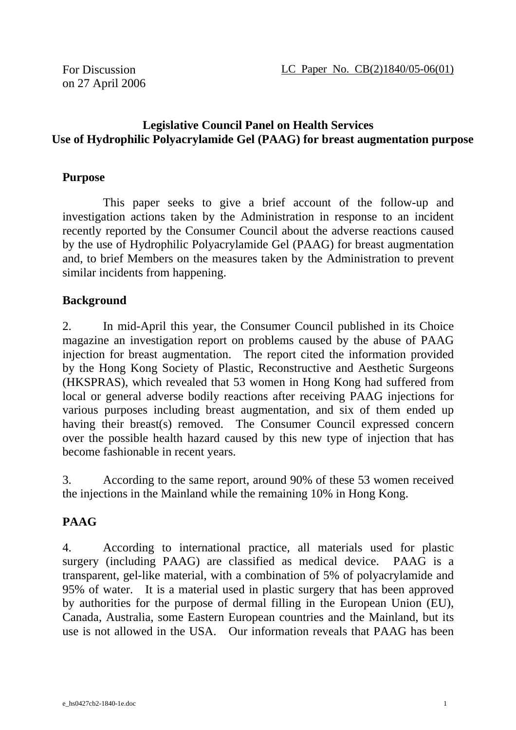LC Paper No. CB(2)1840/05-06(01)

For Discussion on 27 April 2006

# **Legislative Council Panel on Health Services Use of Hydrophilic Polyacrylamide Gel (PAAG) for breast augmentation purpose**

# **Purpose**

 This paper seeks to give a brief account of the follow-up and investigation actions taken by the Administration in response to an incident recently reported by the Consumer Council about the adverse reactions caused by the use of Hydrophilic Polyacrylamide Gel (PAAG) for breast augmentation and, to brief Members on the measures taken by the Administration to prevent similar incidents from happening.

# **Background**

2. In mid-April this year, the Consumer Council published in its Choice magazine an investigation report on problems caused by the abuse of PAAG injection for breast augmentation. The report cited the information provided by the Hong Kong Society of Plastic, Reconstructive and Aesthetic Surgeons (HKSPRAS), which revealed that 53 women in Hong Kong had suffered from local or general adverse bodily reactions after receiving PAAG injections for various purposes including breast augmentation, and six of them ended up having their breast(s) removed. The Consumer Council expressed concern over the possible health hazard caused by this new type of injection that has become fashionable in recent years.

3. According to the same report, around 90% of these 53 women received the injections in the Mainland while the remaining 10% in Hong Kong.

# **PAAG**

4. According to international practice, all materials used for plastic surgery (including PAAG) are classified as medical device. PAAG is a transparent, gel-like material, with a combination of 5% of polyacrylamide and 95% of water. It is a material used in plastic surgery that has been approved by authorities for the purpose of dermal filling in the European Union (EU), Canada, Australia, some Eastern European countries and the Mainland, but its use is not allowed in the USA. Our information reveals that PAAG has been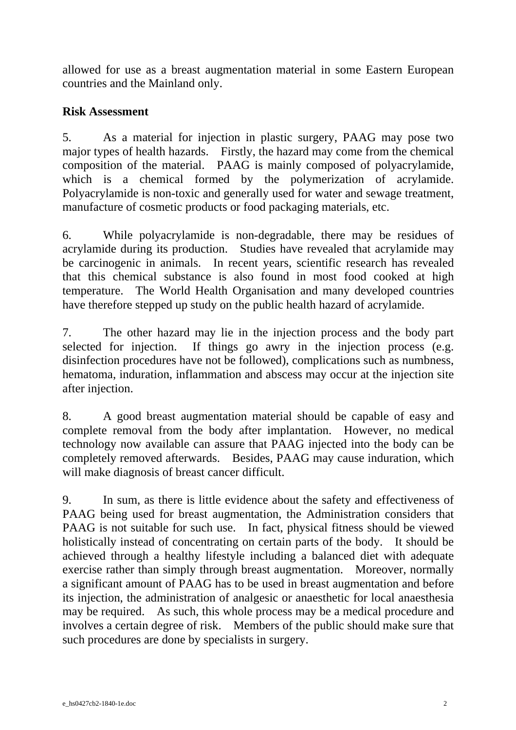allowed for use as a breast augmentation material in some Eastern European countries and the Mainland only.

### **Risk Assessment**

5. As a material for injection in plastic surgery, PAAG may pose two major types of health hazards. Firstly, the hazard may come from the chemical composition of the material. PAAG is mainly composed of polyacrylamide, which is a chemical formed by the polymerization of acrylamide. Polyacrylamide is non-toxic and generally used for water and sewage treatment, manufacture of cosmetic products or food packaging materials, etc.

6. While polyacrylamide is non-degradable, there may be residues of acrylamide during its production. Studies have revealed that acrylamide may be carcinogenic in animals. In recent years, scientific research has revealed that this chemical substance is also found in most food cooked at high temperature. The World Health Organisation and many developed countries have therefore stepped up study on the public health hazard of acrylamide.

7. The other hazard may lie in the injection process and the body part selected for injection. If things go awry in the injection process (e.g. disinfection procedures have not be followed), complications such as numbness, hematoma, induration, inflammation and abscess may occur at the injection site after injection.

8. A good breast augmentation material should be capable of easy and complete removal from the body after implantation. However, no medical technology now available can assure that PAAG injected into the body can be completely removed afterwards. Besides, PAAG may cause induration, which will make diagnosis of breast cancer difficult.

9. In sum, as there is little evidence about the safety and effectiveness of PAAG being used for breast augmentation, the Administration considers that PAAG is not suitable for such use. In fact, physical fitness should be viewed holistically instead of concentrating on certain parts of the body. It should be achieved through a healthy lifestyle including a balanced diet with adequate exercise rather than simply through breast augmentation. Moreover, normally a significant amount of PAAG has to be used in breast augmentation and before its injection, the administration of analgesic or anaesthetic for local anaesthesia may be required. As such, this whole process may be a medical procedure and involves a certain degree of risk. Members of the public should make sure that such procedures are done by specialists in surgery.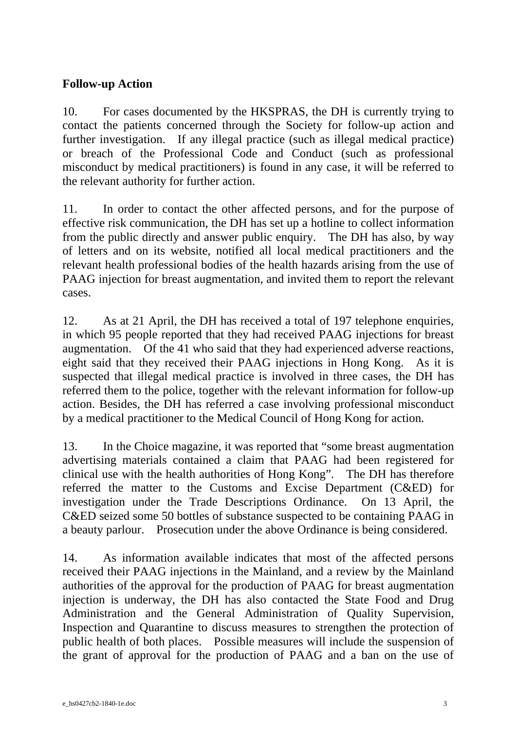# **Follow-up Action**

10. For cases documented by the HKSPRAS, the DH is currently trying to contact the patients concerned through the Society for follow-up action and further investigation. If any illegal practice (such as illegal medical practice) or breach of the Professional Code and Conduct (such as professional misconduct by medical practitioners) is found in any case, it will be referred to the relevant authority for further action.

11. In order to contact the other affected persons, and for the purpose of effective risk communication, the DH has set up a hotline to collect information from the public directly and answer public enquiry. The DH has also, by way of letters and on its website, notified all local medical practitioners and the relevant health professional bodies of the health hazards arising from the use of PAAG injection for breast augmentation, and invited them to report the relevant cases.

12. As at 21 April, the DH has received a total of 197 telephone enquiries, in which 95 people reported that they had received PAAG injections for breast augmentation. Of the 41 who said that they had experienced adverse reactions, eight said that they received their PAAG injections in Hong Kong. As it is suspected that illegal medical practice is involved in three cases, the DH has referred them to the police, together with the relevant information for follow-up action. Besides, the DH has referred a case involving professional misconduct by a medical practitioner to the Medical Council of Hong Kong for action.

13. In the Choice magazine, it was reported that "some breast augmentation advertising materials contained a claim that PAAG had been registered for clinical use with the health authorities of Hong Kong". The DH has therefore referred the matter to the Customs and Excise Department (C&ED) for investigation under the Trade Descriptions Ordinance. On 13 April, the C&ED seized some 50 bottles of substance suspected to be containing PAAG in a beauty parlour. Prosecution under the above Ordinance is being considered.

14. As information available indicates that most of the affected persons received their PAAG injections in the Mainland, and a review by the Mainland authorities of the approval for the production of PAAG for breast augmentation injection is underway, the DH has also contacted the State Food and Drug Administration and the General Administration of Quality Supervision, Inspection and Quarantine to discuss measures to strengthen the protection of public health of both places. Possible measures will include the suspension of the grant of approval for the production of PAAG and a ban on the use of